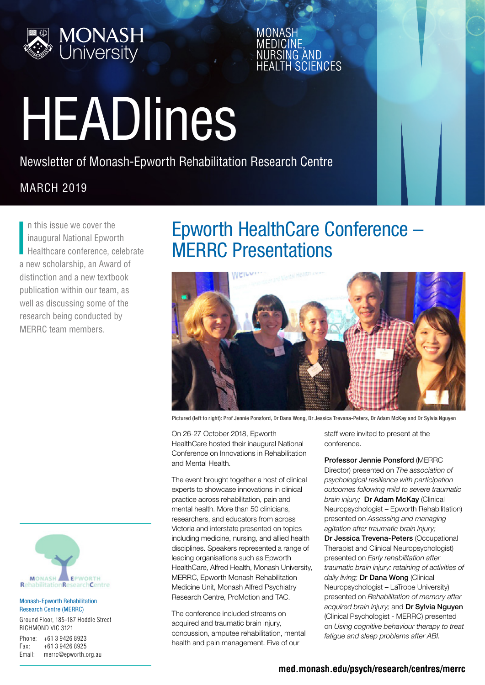

**SCIENCES** 

# HEADlines

Newsletter of Monash-Epworth Rehabilitation Research Centre

#### **MARCH 2019**

I n this issue we cover the inaugural National Epworth Healthcare conference, celebrate a new scholarship, an Award of distinction and a new textbook publication within our team, as well as discussing some of the research being conducted by MERRC team members.





Pictured (left to right): Prof Jennie Ponsford, Dr Dana Wong, Dr Jessica Trevana-Peters, Dr Adam McKay and Dr Sylvia Nguyen

On 26-27 October 2018, Epworth HealthCare hosted their inaugural National Conference on Innovations in Rehabilitation and Mental Health.

The event brought together a host of clinical experts to showcase innovations in clinical practice across rehabilitation, pain and mental health. More than 50 clinicians, researchers, and educators from across Victoria and interstate presented on topics including medicine, nursing, and allied health disciplines. Speakers represented a range of leading organisations such as Epworth HealthCare, Alfred Health, Monash University, MERRC, Epworth Monash Rehabilitation Medicine Unit, Monash Alfred Psychiatry Research Centre, ProMotion and TAC.

The conference included streams on acquired and traumatic brain injury, concussion, amputee rehabilitation, mental health and pain management. Five of our

staff were invited to present at the conference.

Professor Jennie Ponsford (MERRC Director) presented on *The association of psychological resilience with participation outcomes following mild to severe traumatic brain injury;* Dr Adam McKay (Clinical Neuropsychologist – Epworth Rehabilitation) presented on *Assessing and managing agitation after traumatic brain injury;* Dr Jessica Trevena-Peters (Occupational Therapist and Clinical Neuropsychologist) presented on *Early rehabilitation after traumatic brain injury: retaining of activities of*  daily living; **Dr Dana Wong** (Clinical Neuropsychologist – LaTrobe University) presented on *Rehabilitation of memory after acquired brain injury;* and Dr Sylvia Nguyen (Clinical Psychologist - MERRC) presented on *Using cognitive behaviour therapy to treat fatigue and sleep problems after ABI*.



#### Monash-Epworth Rehabilitation Research Centre (MERRC)

Ground Floor, 185-187 Hoddle Street RICHMOND VIC 3121

Phone: +61 3 9426 8923 Fax: +61 3 9426 8925 Email: merrc@epworth.org.au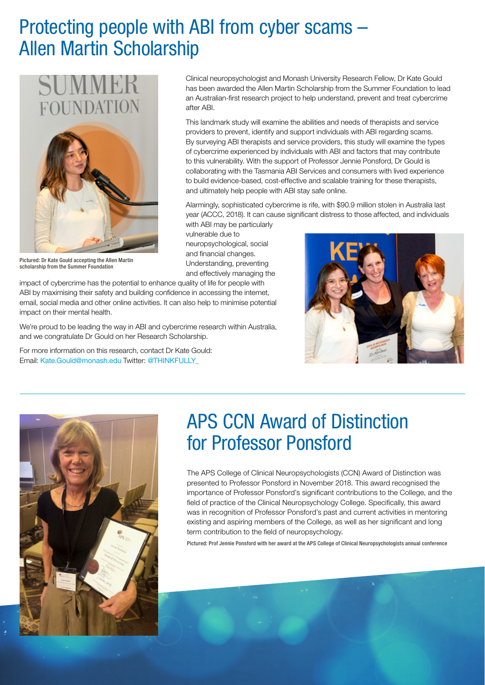## Protecting people with ABI from cyber scams – Allen Martin Scholarship



Pictured: Dr Kate Gould accepting the Allen Martin scholarship from the Summer Foundation

Clinical neuropsychologist and Monash University Research Fellow, Dr Kate Gould has been awarded the Allen Martin Scholarship from the Summer Foundation to lead an Australian-first research project to help understand, prevent and treat cybercrime after ABI.

This landmark study will examine the abilities and needs of therapists and service providers to prevent, identify and support individuals with ABI regarding scams. By surveying ABI therapists and service providers, this study will examine the types of cybercrime experienced by individuals with ABI and factors that may contribute to this vulnerability. With the support of Professor Jennie Ponsford, Dr Gould is collaborating with the Tasmania ABI Services and consumers with lived experience to build evidence-based, cost-effective and scalable training for these therapists, and ultimately help people with ABI stay safe online.

Alarmingly, sophisticated cybercrime is rife, with \$90.9 million stolen in Australia last year (ACCC, 2018). It can cause significant distress to those affected, and individuals with ABI may be particularly

vulnerable due to neuropsychological, social and financial changes. Understanding, preventing and effectively managing the

impact of cybercrime has the potential to enhance quality of life for people with ABI by maximising their safety and building confidence in accessing the internet, email, social media and other online activities. It can also help to minimise potential impact on their mental health.

We're proud to be leading the way in ABI and cybercrime research within Australia, and we congratulate Dr Gould on her Research Scholarship.

For more information on this research, contact Dr Kate Gould: Email: [Kate.Gould@monash.edu](mailto:Kate.Gould%40monash.edu?subject=) Twitter: @THINKFULLY\_





## APS CCN Award of Distinction for Professor Ponsford

The APS College of Clinical Neuropsychologists (CCN) Award of Distinction was presented to Professor Ponsford in November 2018. This award recognised the importance of Professor Ponsford's significant contributions to the College, and the field of practice of the Clinical Neuropsychology College. Specifically, this award was in recognition of Professor Ponsford's past and current activities in mentoring existing and aspiring members of the College, as well as her significant and long term contribution to the field of neuropsychology.

Pictured: Prof Jennie Ponsford with her award at the APS College of Clinical Neuropsychologists annual conference